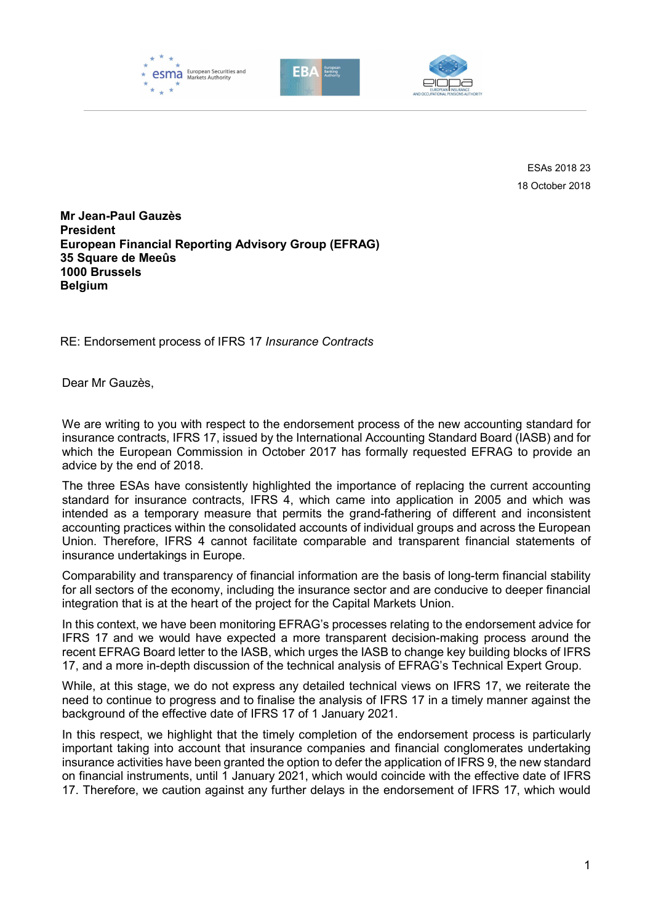





ESAs 2018 23 18 October 2018

Mr Jean-Paul Gauzès President European Financial Reporting Advisory Group (EFRAG) 35 Square de Meeûs 1000 Brussels **Belgium** 

RE: Endorsement process of IFRS 17 Insurance Contracts

Dear Mr Gauzès,

We are writing to you with respect to the endorsement process of the new accounting standard for insurance contracts, IFRS 17, issued by the International Accounting Standard Board (IASB) and for which the European Commission in October 2017 has formally requested EFRAG to provide an advice by the end of 2018.

The three ESAs have consistently highlighted the importance of replacing the current accounting standard for insurance contracts, IFRS 4, which came into application in 2005 and which was intended as a temporary measure that permits the grand-fathering of different and inconsistent accounting practices within the consolidated accounts of individual groups and across the European Union. Therefore, IFRS 4 cannot facilitate comparable and transparent financial statements of insurance undertakings in Europe.

Comparability and transparency of financial information are the basis of long-term financial stability for all sectors of the economy, including the insurance sector and are conducive to deeper financial integration that is at the heart of the project for the Capital Markets Union.

In this context, we have been monitoring EFRAG's processes relating to the endorsement advice for IFRS 17 and we would have expected a more transparent decision-making process around the recent EFRAG Board letter to the IASB, which urges the IASB to change key building blocks of IFRS 17, and a more in-depth discussion of the technical analysis of EFRAG's Technical Expert Group.

While, at this stage, we do not express any detailed technical views on IFRS 17, we reiterate the need to continue to progress and to finalise the analysis of IFRS 17 in a timely manner against the background of the effective date of IFRS 17 of 1 January 2021.

In this respect, we highlight that the timely completion of the endorsement process is particularly important taking into account that insurance companies and financial conglomerates undertaking insurance activities have been granted the option to defer the application of IFRS 9, the new standard on financial instruments, until 1 January 2021, which would coincide with the effective date of IFRS 17. Therefore, we caution against any further delays in the endorsement of IFRS 17, which would